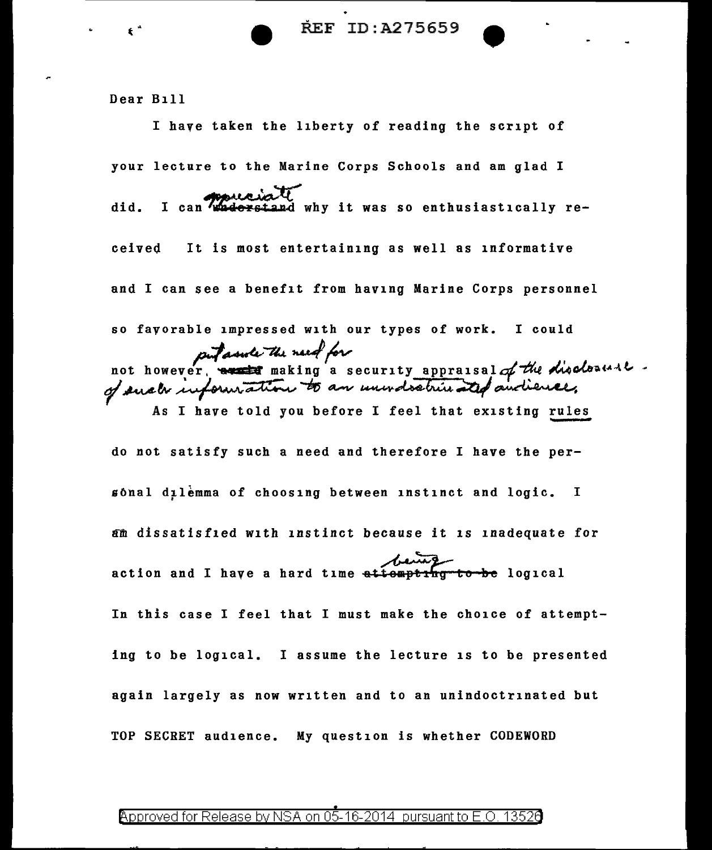**REF ID:A275659** 

Dear Bill

I have taken the liberty of reading the script of your lecture to the Marine Corps Schools and am glad I did. I can waderstand why it was so enthusiastically received It is most entertaining as well as informative and I can see a benefit from having Marine Corps personnel so favorable impressed with our types of work. I could putasule the need for not however, we haking a security appraisal of the disclesure. As I have told you before I feel that existing rules do not satisfy such a need and therefore I have the per- $\mathfrak s$ ônal dịlèmma of choosing between instinct and logic. I am dissatisfied with instinct because it is inadequate for action and I have a hard time attompting to be logical In this case I feel that I must make the choice of attempting to be logical. I assume the lecture is to be presented again largely as now written and to an unindoctrinated but TOP SECRET audience. My question is whether CODEWORD

## Approved for Release by NSA on 05-16-2014 pursuant to E.O. 1352a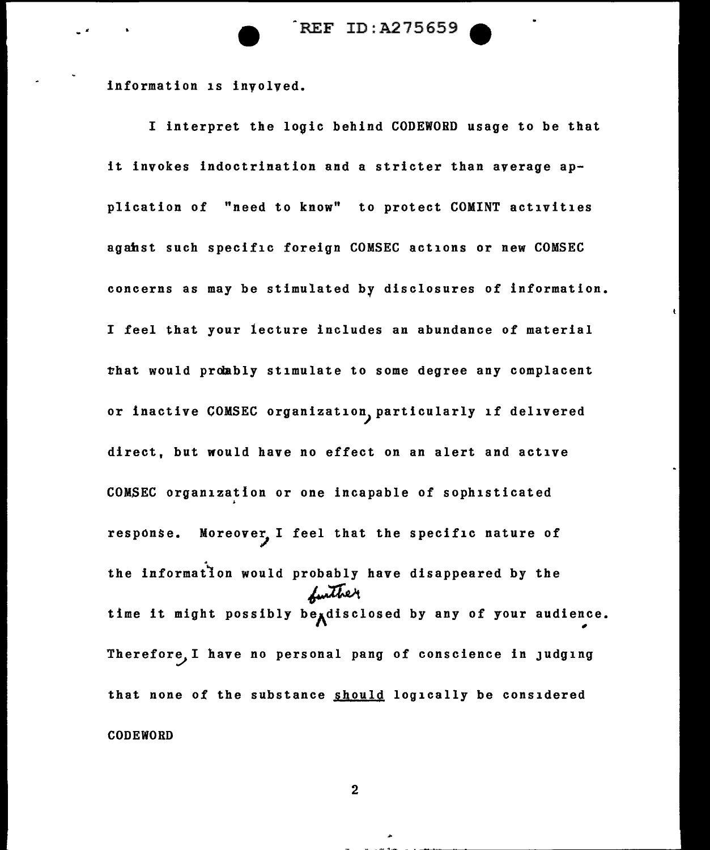REF ID:A275659

information is involved.

I interpret the logic behind CODEWORD usage to be that it invokes indoctrination and a stricter than average application of "need to know" to protect COMINT activities agahst such specific foreign COMSEC actions or new COMSEC concerns as may be stimulated by disclosures of information. I feel that your lecture includes an abundance of material that would probably stimulate to some degree any complacent or inactive COMSEC organization} particularly if delivered direct, but would have no effect on an alert and active COMSEC organization or one incapable of sophisticated response. Moreover, I feel that the specific nature of the information would probably have disappeared by the the information would probably have disappeared by the<br>
time it might possibly be<sub>A</sub>disclosed by any of your audience. Therefore, I have no personal pang of conscience in judging that none of the substance should logically be considered CODEWORD

2